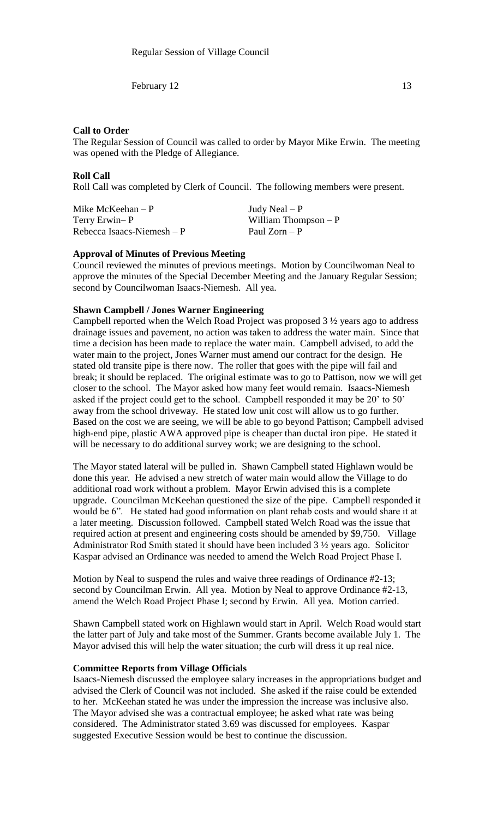### **Call to Order**

The Regular Session of Council was called to order by Mayor Mike Erwin. The meeting was opened with the Pledge of Allegiance.

#### **Roll Call**

Roll Call was completed by Clerk of Council. The following members were present.

Mike McKeehan – P  $Judy$  Neal – P Terry Erwin– P William Thompson – P  $Rebecca Isaacs-Niemesh - P$  Paul Zorn – P

#### **Approval of Minutes of Previous Meeting**

Council reviewed the minutes of previous meetings. Motion by Councilwoman Neal to approve the minutes of the Special December Meeting and the January Regular Session; second by Councilwoman Isaacs-Niemesh. All yea.

### **Shawn Campbell / Jones Warner Engineering**

Campbell reported when the Welch Road Project was proposed 3 ½ years ago to address drainage issues and pavement, no action was taken to address the water main. Since that time a decision has been made to replace the water main. Campbell advised, to add the water main to the project, Jones Warner must amend our contract for the design. He stated old transite pipe is there now. The roller that goes with the pipe will fail and break; it should be replaced. The original estimate was to go to Pattison, now we will get closer to the school. The Mayor asked how many feet would remain. Isaacs-Niemesh asked if the project could get to the school. Campbell responded it may be 20' to 50' away from the school driveway. He stated low unit cost will allow us to go further. Based on the cost we are seeing, we will be able to go beyond Pattison; Campbell advised high-end pipe, plastic AWA approved pipe is cheaper than ductal iron pipe. He stated it will be necessary to do additional survey work; we are designing to the school.

The Mayor stated lateral will be pulled in. Shawn Campbell stated Highlawn would be done this year. He advised a new stretch of water main would allow the Village to do additional road work without a problem. Mayor Erwin advised this is a complete upgrade. Councilman McKeehan questioned the size of the pipe. Campbell responded it would be 6". He stated had good information on plant rehab costs and would share it at a later meeting. Discussion followed. Campbell stated Welch Road was the issue that required action at present and engineering costs should be amended by \$9,750. Village Administrator Rod Smith stated it should have been included 3 ½ years ago. Solicitor Kaspar advised an Ordinance was needed to amend the Welch Road Project Phase I.

Motion by Neal to suspend the rules and waive three readings of Ordinance #2-13; second by Councilman Erwin. All yea. Motion by Neal to approve Ordinance #2-13, amend the Welch Road Project Phase I; second by Erwin. All yea. Motion carried.

Shawn Campbell stated work on Highlawn would start in April. Welch Road would start the latter part of July and take most of the Summer. Grants become available July 1. The Mayor advised this will help the water situation; the curb will dress it up real nice.

### **Committee Reports from Village Officials**

Isaacs-Niemesh discussed the employee salary increases in the appropriations budget and advised the Clerk of Council was not included. She asked if the raise could be extended to her. McKeehan stated he was under the impression the increase was inclusive also. The Mayor advised she was a contractual employee; he asked what rate was being considered. The Administrator stated 3.69 was discussed for employees. Kaspar suggested Executive Session would be best to continue the discussion.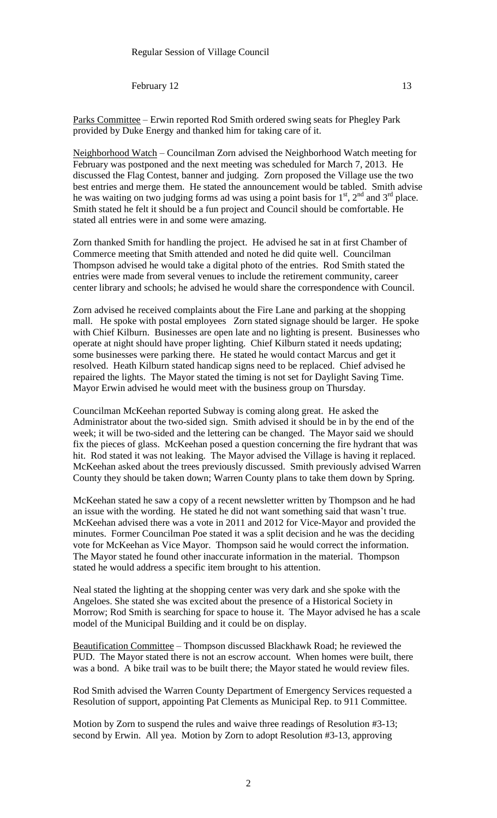Neighborhood Watch – Councilman Zorn advised the Neighborhood Watch meeting for February was postponed and the next meeting was scheduled for March 7, 2013. He discussed the Flag Contest, banner and judging. Zorn proposed the Village use the two best entries and merge them. He stated the announcement would be tabled. Smith advise he was waiting on two judging forms ad was using a point basis for  $1<sup>st</sup>$ ,  $2<sup>nd</sup>$  and  $3<sup>rd</sup>$  place. Smith stated he felt it should be a fun project and Council should be comfortable. He stated all entries were in and some were amazing.

Zorn thanked Smith for handling the project. He advised he sat in at first Chamber of Commerce meeting that Smith attended and noted he did quite well. Councilman Thompson advised he would take a digital photo of the entries. Rod Smith stated the entries were made from several venues to include the retirement community, career center library and schools; he advised he would share the correspondence with Council.

Zorn advised he received complaints about the Fire Lane and parking at the shopping mall. He spoke with postal employees Zorn stated signage should be larger. He spoke with Chief Kilburn. Businesses are open late and no lighting is present. Businesses who operate at night should have proper lighting. Chief Kilburn stated it needs updating; some businesses were parking there. He stated he would contact Marcus and get it resolved. Heath Kilburn stated handicap signs need to be replaced. Chief advised he repaired the lights. The Mayor stated the timing is not set for Daylight Saving Time. Mayor Erwin advised he would meet with the business group on Thursday.

Councilman McKeehan reported Subway is coming along great. He asked the Administrator about the two-sided sign. Smith advised it should be in by the end of the week; it will be two-sided and the lettering can be changed. The Mayor said we should fix the pieces of glass. McKeehan posed a question concerning the fire hydrant that was hit. Rod stated it was not leaking. The Mayor advised the Village is having it replaced. McKeehan asked about the trees previously discussed. Smith previously advised Warren County they should be taken down; Warren County plans to take them down by Spring.

McKeehan stated he saw a copy of a recent newsletter written by Thompson and he had an issue with the wording. He stated he did not want something said that wasn't true. McKeehan advised there was a vote in 2011 and 2012 for Vice-Mayor and provided the minutes. Former Councilman Poe stated it was a split decision and he was the deciding vote for McKeehan as Vice Mayor. Thompson said he would correct the information. The Mayor stated he found other inaccurate information in the material. Thompson stated he would address a specific item brought to his attention.

Neal stated the lighting at the shopping center was very dark and she spoke with the Angeloes. She stated she was excited about the presence of a Historical Society in Morrow; Rod Smith is searching for space to house it. The Mayor advised he has a scale model of the Municipal Building and it could be on display.

Beautification Committee – Thompson discussed Blackhawk Road; he reviewed the PUD. The Mayor stated there is not an escrow account. When homes were built, there was a bond. A bike trail was to be built there; the Mayor stated he would review files.

Rod Smith advised the Warren County Department of Emergency Services requested a Resolution of support, appointing Pat Clements as Municipal Rep. to 911 Committee.

Motion by Zorn to suspend the rules and waive three readings of Resolution #3-13; second by Erwin. All yea. Motion by Zorn to adopt Resolution #3-13, approving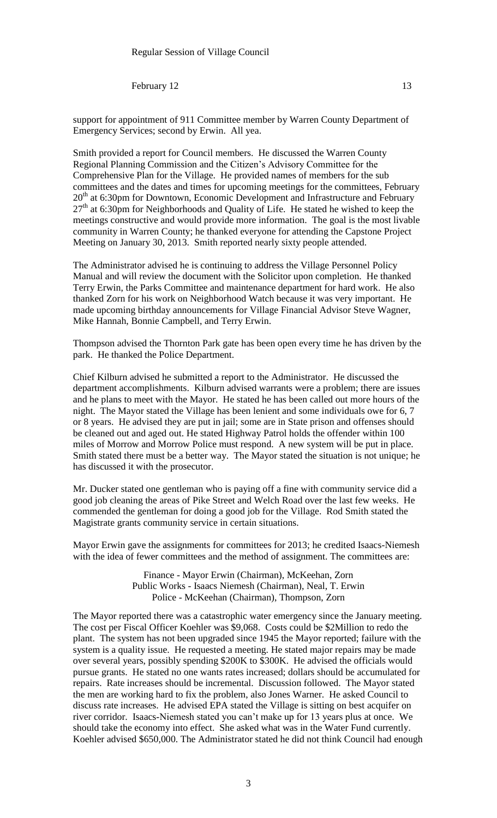support for appointment of 911 Committee member by Warren County Department of Emergency Services; second by Erwin. All yea.

Smith provided a report for Council members. He discussed the Warren County Regional Planning Commission and the Citizen's Advisory Committee for the Comprehensive Plan for the Village. He provided names of members for the sub committees and the dates and times for upcoming meetings for the committees, February 20<sup>th</sup> at 6:30pm for Downtown, Economic Development and Infrastructure and February 27<sup>th</sup> at 6:30pm for Neighborhoods and Quality of Life. He stated he wished to keep the meetings constructive and would provide more information. The goal is the most livable community in Warren County; he thanked everyone for attending the Capstone Project Meeting on January 30, 2013. Smith reported nearly sixty people attended.

The Administrator advised he is continuing to address the Village Personnel Policy Manual and will review the document with the Solicitor upon completion. He thanked Terry Erwin, the Parks Committee and maintenance department for hard work. He also thanked Zorn for his work on Neighborhood Watch because it was very important. He made upcoming birthday announcements for Village Financial Advisor Steve Wagner, Mike Hannah, Bonnie Campbell, and Terry Erwin.

Thompson advised the Thornton Park gate has been open every time he has driven by the park. He thanked the Police Department.

Chief Kilburn advised he submitted a report to the Administrator. He discussed the department accomplishments. Kilburn advised warrants were a problem; there are issues and he plans to meet with the Mayor. He stated he has been called out more hours of the night. The Mayor stated the Village has been lenient and some individuals owe for 6, 7 or 8 years. He advised they are put in jail; some are in State prison and offenses should be cleaned out and aged out. He stated Highway Patrol holds the offender within 100 miles of Morrow and Morrow Police must respond. A new system will be put in place. Smith stated there must be a better way. The Mayor stated the situation is not unique; he has discussed it with the prosecutor.

Mr. Ducker stated one gentleman who is paying off a fine with community service did a good job cleaning the areas of Pike Street and Welch Road over the last few weeks. He commended the gentleman for doing a good job for the Village. Rod Smith stated the Magistrate grants community service in certain situations.

Mayor Erwin gave the assignments for committees for 2013; he credited Isaacs-Niemesh with the idea of fewer committees and the method of assignment. The committees are:

> Finance - Mayor Erwin (Chairman), McKeehan, Zorn Public Works - Isaacs Niemesh (Chairman), Neal, T. Erwin Police - McKeehan (Chairman), Thompson, Zorn

The Mayor reported there was a catastrophic water emergency since the January meeting. The cost per Fiscal Officer Koehler was \$9,068. Costs could be \$2Million to redo the plant. The system has not been upgraded since 1945 the Mayor reported; failure with the system is a quality issue. He requested a meeting. He stated major repairs may be made over several years, possibly spending \$200K to \$300K. He advised the officials would pursue grants. He stated no one wants rates increased; dollars should be accumulated for repairs. Rate increases should be incremental. Discussion followed. The Mayor stated the men are working hard to fix the problem, also Jones Warner. He asked Council to discuss rate increases. He advised EPA stated the Village is sitting on best acquifer on river corridor. Isaacs-Niemesh stated you can't make up for 13 years plus at once. We should take the economy into effect. She asked what was in the Water Fund currently. Koehler advised \$650,000. The Administrator stated he did not think Council had enough